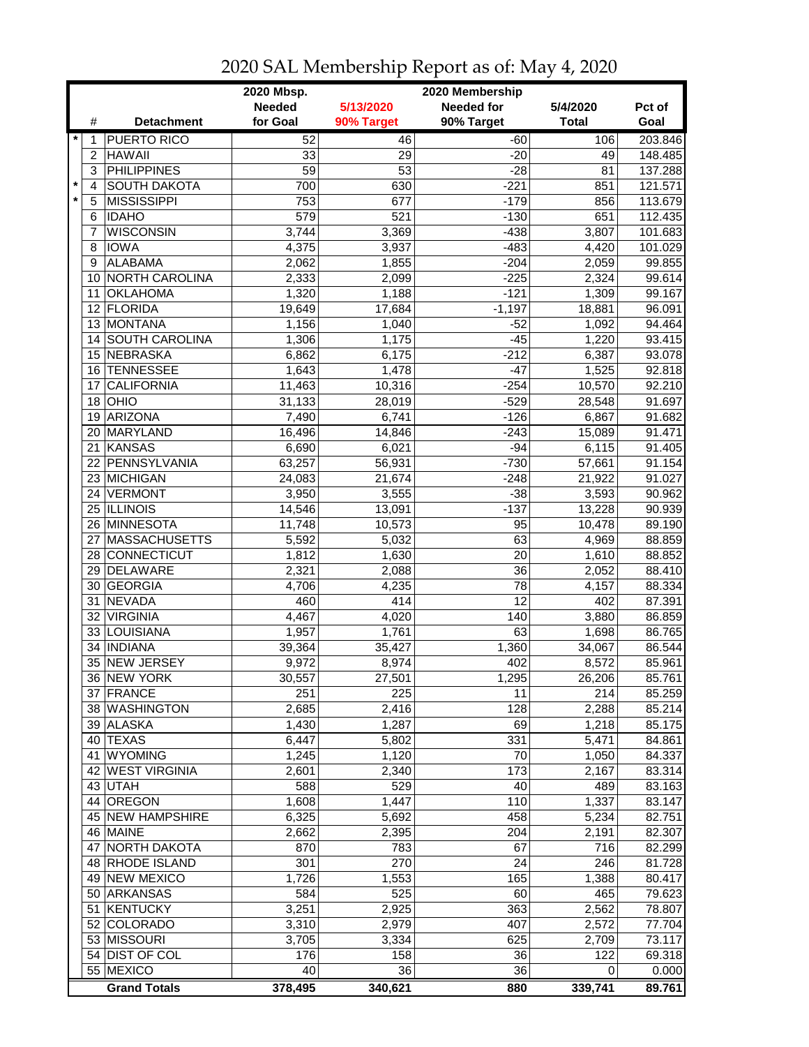|         |                |                         | 2020 Mbsp.<br>2020 Membership |            |                   |                   |         |  |
|---------|----------------|-------------------------|-------------------------------|------------|-------------------|-------------------|---------|--|
|         |                |                         | <b>Needed</b>                 | 5/13/2020  | <b>Needed for</b> | 5/4/2020          | Pct of  |  |
|         | #              | <b>Detachment</b>       | for Goal                      | 90% Target | 90% Target        | <b>Total</b>      | Goal    |  |
| $\star$ | 1              | <b>PUERTO RICO</b>      | 52                            | 46         | $-60$             | 106               | 203.846 |  |
|         | 2              | <b>HAWAII</b>           | 33                            | 29         | $-20$             | 49                | 148.485 |  |
|         | 3              | <b>PHILIPPINES</b>      | $\overline{59}$               | 53         | $-28$             | 81                | 137.288 |  |
| $\star$ | $\overline{4}$ | <b>SOUTH DAKOTA</b>     | 700                           | 630        | $-221$            | 851               | 121.571 |  |
| $\star$ | 5              | <b>MISSISSIPPI</b>      | 753                           | 677        | $-179$            | 856               | 113.679 |  |
|         | 6              | <b>IDAHO</b>            | 579                           | 521        | $-130$            | 651               | 112.435 |  |
|         | 7              | <b>WISCONSIN</b>        | 3,744                         | 3,369      | $-438$            | 3,807             | 101.683 |  |
|         | 8              | <b>IOWA</b>             | 4,375                         | 3,937      | $-483$            | 4,420             | 101.029 |  |
|         | 9              | <b>ALABAMA</b>          | 2,062                         | 1,855      | $-204$            | 2,059             | 99.855  |  |
|         | 10             | <b>NORTH CAROLINA</b>   | 2,333                         | 2,099      | $-225$            | 2,324             | 99.614  |  |
|         | 11             | <b>OKLAHOMA</b>         | 1,320                         | 1,188      | $-121$            | 1,309             | 99.167  |  |
|         | 12             | <b>FLORIDA</b>          |                               | 17,684     | $-1,197$          |                   | 96.091  |  |
|         | 13             | <b>MONTANA</b>          | 19,649<br>1,156               | 1,040      | $-52$             | 18,881<br>1,092   | 94.464  |  |
|         |                | 14 SOUTH CAROLINA       | 1,306                         |            | $-45$             | 1,220             | 93.415  |  |
|         |                | 15 NEBRASKA             |                               | 1,175      |                   |                   |         |  |
|         |                |                         | 6,862                         | 6,175      | $-212$            | 6,387             | 93.078  |  |
|         | 16             | <b>TENNESSEE</b>        | 1,643                         | 1,478      | $-47$             | 1,525             | 92.818  |  |
|         | 17             | <b>CALIFORNIA</b>       | 11,463                        | 10,316     | $-254$            | 10,570            | 92.210  |  |
|         | 18             | OHIO                    | 31,133                        | 28,019     | $-529$            | 28,548            | 91.697  |  |
|         | 19             | ARIZONA                 | 7,490                         | 6,741      | $-126$            | 6,867             | 91.682  |  |
|         | 20             | MARYLAND                | 16,496                        | 14,846     | $-243$            | 15,089            | 91.471  |  |
|         | 21             | <b>KANSAS</b>           | 6,690                         | 6,021      | $-94$             | 6,115             | 91.405  |  |
|         | 22             | PENNSYLVANIA            | 63,257                        | 56,931     | $-730$            | 57,661            | 91.154  |  |
|         |                | 23 MICHIGAN             | 24,083                        | 21,674     | $-248$            | 21,922            | 91.027  |  |
|         |                | 24 VERMONT              | 3,950                         | 3,555      | $-38$             | 3,593             | 90.962  |  |
|         |                | 25 ILLINOIS             | 14,546                        | 13,091     | $-137$            | 13,228            | 90.939  |  |
|         |                | 26 MINNESOTA            | 11,748                        | 10,573     | 95                | 10,478            | 89.190  |  |
|         | 27             | <b>MASSACHUSETTS</b>    | 5,592                         | 5,032      | 63                | 4,969             | 88.859  |  |
|         |                | 28 CONNECTICUT          | 1,812                         | 1,630      | 20                | 1,610             | 88.852  |  |
|         |                | 29 DELAWARE             | 2,321                         | 2,088      | 36                | 2,052             | 88.410  |  |
|         | 30             | <b>GEORGIA</b>          | 4,706                         | 4,235      | 78                | 4,157             | 88.334  |  |
|         | 31             | <b>NEVADA</b>           | 460                           | 414        | 12                | 402               | 87.391  |  |
|         | 32             | <b>VIRGINIA</b>         | 4,467                         | 4,020      | 140               | 3,880             | 86.859  |  |
|         |                | 33 LOUISIANA            | 1,957                         | 1,761      | 63                | 1,698             | 86.765  |  |
|         | 34             | <b>INDIANA</b>          | 39,364                        | 35,427     | 1,360             | 34,067            | 86.544  |  |
|         | 35             | <b>NEW JERSEY</b>       | 9,972                         | 8,974      | 402               | 8,572             | 85.961  |  |
|         |                | 36 NEW YORK             | 30,557                        | 27,501     | 1,295             | 26,206            | 85.761  |  |
|         |                | 37 FRANCE               | 251                           | 225        | 11                | 214               | 85.259  |  |
|         |                | 38 WASHINGTON           | 2,685                         | 2,416      | 128               | 2,288             | 85.214  |  |
|         |                | 39 ALASKA               | 1,430                         | 1,287      | 69                | 1,218             | 85.175  |  |
|         |                | 40 TEXAS                | 6,447                         | 5,802      | 331               | 5,471             | 84.861  |  |
|         | 41             | <b>WYOMING</b>          | 1,245                         | 1,120      | 70                | 1,050             | 84.337  |  |
|         |                | 42 WEST VIRGINIA        | 2,601                         | 2,340      | 173               | 2,167             | 83.314  |  |
|         |                | 43 UTAH                 | 588                           | 529        | 40                | 489               | 83.163  |  |
|         |                | 44 OREGON               | 1,608                         | 1,447      | 110               | 1,337             | 83.147  |  |
|         |                | <b>45 NEW HAMPSHIRE</b> | 6,325                         | 5,692      | 458               | 5,234             | 82.751  |  |
|         |                | 46 MAINE                | 2,662                         | 2,395      | 204               | 2,191             | 82.307  |  |
|         | 47             | <b>NORTH DAKOTA</b>     | 870                           | 783        | 67                | 716               | 82.299  |  |
|         |                | 48 RHODE ISLAND         | $\overline{3}01$              | 270        | 24                | $\overline{2}$ 46 | 81.728  |  |
|         |                | 49 NEW MEXICO           | 1,726                         | 1,553      | 165               | 1,388             | 80.417  |  |
|         |                | 50 ARKANSAS             | 584                           | 525        | 60                | 465               | 79.623  |  |
|         | 51             | KENTUCKY                | 3,251                         | 2,925      | 363               | 2,562             | 78.807  |  |
|         |                | 52 COLORADO             | 3,310                         | 2,979      | 407               | 2,572             | 77.704  |  |
|         |                | 53 MISSOURI             | 3,705                         | 3,334      | 625               | 2,709             | 73.117  |  |
|         |                | 54 DIST OF COL          | 176                           | 158        | 36                | 122               | 69.318  |  |
|         |                | 55 MEXICO               | 40                            | 36         | 36                | 0                 | 0.000   |  |
|         |                | <b>Grand Totals</b>     | 378,495                       | 340,621    | 880               | 339,741           | 89.761  |  |

## 2020 SAL Membership Report as of: May 4, 2020